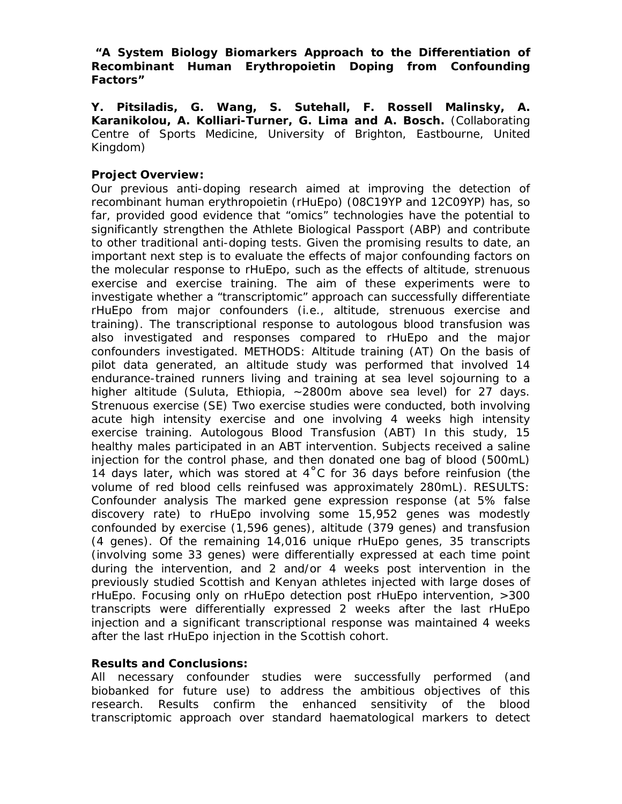*"A System Biology Biomarkers Approach to the Differentiation of Recombinant Human Erythropoietin Doping from Confounding Factors"* 

**Y. Pitsiladis, G. Wang, S. Sutehall, F. Rossell Malinsky, A. Karanikolou, A. Kolliari-Turner, G. Lima and A. Bosch.** (Collaborating Centre of Sports Medicine, University of Brighton, Eastbourne, United Kingdom)

## **Project Overview:**

Our previous anti-doping research aimed at improving the detection of recombinant human erythropoietin (rHuEpo) (08C19YP and 12C09YP) has, so far, provided good evidence that "omics" technologies have the potential to significantly strengthen the Athlete Biological Passport (ABP) and contribute to other traditional anti-doping tests. Given the promising results to date, an important next step is to evaluate the effects of major confounding factors on the molecular response to rHuEpo, such as the effects of altitude, strenuous exercise and exercise training. The aim of these experiments were to investigate whether a "transcriptomic" approach can successfully differentiate rHuEpo from major confounders (i.e., altitude, strenuous exercise and training). The transcriptional response to autologous blood transfusion was also investigated and responses compared to rHuEpo and the major confounders investigated. METHODS: Altitude training (AT) On the basis of pilot data generated, an altitude study was performed that involved 14 endurance-trained runners living and training at sea level sojourning to a higher altitude (Suluta, Ethiopia, ~2800m above sea level) for 27 days. Strenuous exercise (SE) Two exercise studies were conducted, both involving acute high intensity exercise and one involving 4 weeks high intensity exercise training. Autologous Blood Transfusion (ABT) In this study, 15 healthy males participated in an ABT intervention. Subjects received a saline injection for the control phase, and then donated one bag of blood (500mL) 14 days later, which was stored at  $4^{\circ}$ C for 36 days before reinfusion (the volume of red blood cells reinfused was approximately 280mL). RESULTS: Confounder analysis The marked gene expression response (at 5% false discovery rate) to rHuEpo involving some 15,952 genes was modestly confounded by exercise (1,596 genes), altitude (379 genes) and transfusion (4 genes). Of the remaining 14,016 unique rHuEpo genes, 35 transcripts (involving some 33 genes) were differentially expressed at each time point during the intervention, and 2 and/or 4 weeks post intervention in the previously studied Scottish and Kenyan athletes injected with large doses of rHuEpo. Focusing only on rHuEpo detection post rHuEpo intervention, >300 transcripts were differentially expressed 2 weeks after the last rHuEpo injection and a significant transcriptional response was maintained 4 weeks after the last rHuEpo injection in the Scottish cohort.

## **Results and Conclusions:**

All necessary confounder studies were successfully performed (and biobanked for future use) to address the ambitious objectives of this research. Results confirm the enhanced sensitivity of the blood transcriptomic approach over standard haematological markers to detect